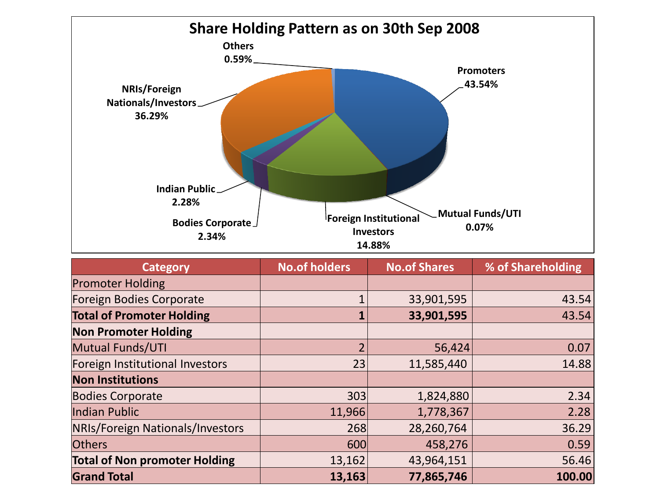

| <b>Category</b>                      | <b>No.of holders</b> | <b>No.of Shares</b> | % of Shareholding |
|--------------------------------------|----------------------|---------------------|-------------------|
| <b>Promoter Holding</b>              |                      |                     |                   |
| Foreign Bodies Corporate             |                      | 33,901,595          | 43.54             |
| <b>Total of Promoter Holding</b>     |                      | 33,901,595          | 43.54             |
| <b>Non Promoter Holding</b>          |                      |                     |                   |
| <b>Mutual Funds/UTI</b>              | $\overline{2}$       | 56,424              | 0.07              |
| Foreign Institutional Investors      | 23                   | 11,585,440          | 14.88             |
| <b>Non Institutions</b>              |                      |                     |                   |
| <b>Bodies Corporate</b>              | 303                  | 1,824,880           | 2.34              |
| Indian Public                        | 11,966               | 1,778,367           | 2.28              |
| NRIs/Foreign Nationals/Investors     | 268                  | 28,260,764          | 36.29             |
| <b>Others</b>                        | 600                  | 458,276             | 0.59              |
| <b>Total of Non promoter Holding</b> | 13,162               | 43,964,151          | 56.46             |
| <b>Grand Total</b>                   | 13,163               | 77,865,746          | 100.00            |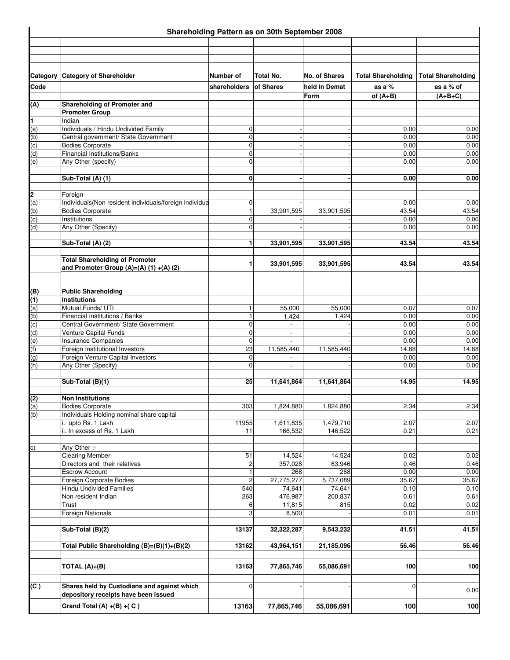|            | Shareholding Pattern as on 30th September 2008                                    |                   |                          |               |                           |                           |  |
|------------|-----------------------------------------------------------------------------------|-------------------|--------------------------|---------------|---------------------------|---------------------------|--|
|            |                                                                                   |                   |                          |               |                           |                           |  |
|            |                                                                                   |                   |                          |               |                           |                           |  |
|            |                                                                                   |                   |                          |               |                           |                           |  |
|            |                                                                                   |                   |                          |               |                           |                           |  |
| Category   | <b>Category of Shareholder</b>                                                    | Number of         | Total No.                | No. of Shares | <b>Total Shareholding</b> | <b>Total Shareholding</b> |  |
| Code       |                                                                                   | shareholders      | of Shares                | held in Demat | as a $%$                  | as a % of                 |  |
|            |                                                                                   |                   |                          | Form          | of $(A+B)$                | $(A+B+C)$                 |  |
| (A)        | Shareholding of Promoter and<br><b>Promoter Group</b>                             |                   |                          |               |                           |                           |  |
| 1          | Indian                                                                            |                   |                          |               |                           |                           |  |
| (a)        | Individuals / Hindu Undivided Family                                              | 0                 |                          |               | 0.00                      | 0.00                      |  |
| (d)        | Central government/ State Government                                              | 0                 |                          |               | 0.00                      | 0.00                      |  |
| (c)        | <b>Bodies Corporate</b>                                                           | $\mathbf 0$       |                          |               | 0.00                      | 0.00                      |  |
| (d)        | Financial Institutions/Banks                                                      | 0                 |                          |               | 0.00                      | 0.00                      |  |
| (e)        | Any Other (specify)                                                               | $\mathbf 0$       |                          |               | 0.00                      | 0.00                      |  |
|            |                                                                                   |                   |                          |               |                           |                           |  |
|            | Sub-Total (A) (1)                                                                 | 0                 |                          |               | 0.00                      | 0.00                      |  |
|            |                                                                                   |                   |                          |               |                           |                           |  |
| 2          | Foreign                                                                           |                   |                          |               |                           |                           |  |
| (a)        | Individuals(Non resident individuals/foreign individua<br><b>Bodies Corporate</b> | 0<br>$\mathbf{1}$ | 33,901,595               | 33,901,595    | 0.00<br>43.54             | 0.00<br>43.54             |  |
| (b)<br>(c) | Institutions                                                                      | 0                 |                          |               | 0.00                      | 0.00                      |  |
| (d)        | Any Other (Specify)                                                               | 0                 |                          |               | 0.00                      | 0.00                      |  |
|            |                                                                                   |                   |                          |               |                           |                           |  |
|            | Sub-Total (A) (2)                                                                 | 1                 | 33,901,595               | 33,901,595    | 43.54                     | 43.54                     |  |
|            |                                                                                   |                   |                          |               |                           |                           |  |
|            | <b>Total Shareholding of Promoter</b>                                             | 1                 | 33,901,595               | 33,901,595    | 43.54                     | 43.54                     |  |
|            | and Promoter Group (A)=(A) (1) +(A) (2)                                           |                   |                          |               |                           |                           |  |
|            |                                                                                   |                   |                          |               |                           |                           |  |
|            |                                                                                   |                   |                          |               |                           |                           |  |
| (B)        | <b>Public Shareholding</b><br><b>Institutions</b>                                 |                   |                          |               |                           |                           |  |
| (1)<br>(a) | Mutual Funds/ UTI                                                                 | $\mathbf{1}$      | 55,000                   | 55,000        | 0.07                      | 0.07                      |  |
| (b)        | Financial Institutions / Banks                                                    | $\mathbf{1}$      | 1,424                    | 1,424         | 0.00                      | 0.00                      |  |
| (c)        | Central Government/ State Government                                              | $\mathbf 0$       | $\overline{\phantom{a}}$ |               | 0.00                      | 0.00                      |  |
| (d)        | Venture Capital Funds                                                             | 0                 | $\overline{\phantom{a}}$ |               | 0.00                      | 0.00                      |  |
| (e)        | Insurance Companies                                                               | $\mathbf 0$       |                          |               | 0.00                      | 0.00                      |  |
| (f)        | Foreign Institutional Investors                                                   | 23                | 11,585,440               | 11,585,440    | 14.88                     | 14.88                     |  |
| (g)        | Foreign Venture Capital Investors                                                 | 0                 |                          |               | 0.00                      | 0.00                      |  |
| (h)        | Any Other (Specify)                                                               | $\mathbf 0$       |                          |               | 0.00                      | 0.00                      |  |
|            |                                                                                   |                   |                          |               |                           |                           |  |
|            | Sub-Total (B)(1)                                                                  | 25                | 11,641,864               | 11,641,864    | 14.95                     | 14.95                     |  |
|            |                                                                                   |                   |                          |               |                           |                           |  |
| (2)<br>(a) | <b>Non Institutions</b><br><b>Bodies Corporate</b>                                | 303               | 1,824,880                | 1,824,880     | 2.34                      | 2.34                      |  |
| (b)        | Individuals Holding nominal share capital                                         |                   |                          |               |                           |                           |  |
|            | i. upto Rs. 1 Lakh                                                                | 11955             | 1,611,835                | 1,479,710     | 2.07                      | 2.07                      |  |
|            | ii. In excess of Rs. 1 Lakh                                                       | 11                | 166,532                  | 146,522       | 0.21                      | 0.21                      |  |
|            |                                                                                   |                   |                          |               |                           |                           |  |
| c)         | Any Other :-                                                                      |                   |                          |               |                           |                           |  |
|            | <b>Clearing Member</b>                                                            | 51                | 14,524                   | 14,524        | 0.02                      | 0.02                      |  |
|            | Directors and their relatives                                                     | $\overline{c}$    | 357,028                  | 63,946        | 0.46                      | 0.46                      |  |
|            | <b>Escrow Account</b>                                                             | 1                 | 268                      | 268           | 0.00                      | 0.00                      |  |
|            | Foreign Corporate Bodies                                                          | $\overline{2}$    | 27,775,277               | 5,737,089     | 35.67                     | 35.67                     |  |
|            | Hindu Undivided Families                                                          | 540               | 74,641                   | 74,641        | 0.10                      | 0.10                      |  |
|            | Non resident Indian                                                               | 263               | 476,987                  | 200,837       | 0.61                      | 0.61                      |  |
|            | Trust<br>Foreign Nationals                                                        | 6<br>3            | 11,815<br>8,500          | 815           | 0.02<br>0.01              | 0.02<br>0.01              |  |
|            |                                                                                   |                   |                          |               |                           |                           |  |
|            | Sub-Total (B)(2)                                                                  | 13137             | 32,322,287               | 9,543,232     | 41.51                     | 41.51                     |  |
|            |                                                                                   |                   |                          |               |                           |                           |  |
|            | Total Public Shareholding (B)=(B)(1)+(B)(2)                                       | 13162             | 43,964,151               | 21,185,096    | 56.46                     | 56.46                     |  |
|            |                                                                                   |                   |                          |               |                           |                           |  |
|            |                                                                                   | 13163             | 77,865,746               | 55,086,691    | 100                       | 100                       |  |
|            | TOTAL $(A)+(B)$                                                                   |                   |                          |               |                           |                           |  |
|            |                                                                                   |                   |                          |               |                           |                           |  |
| (C)        | Shares held by Custodians and against which                                       | $\mathbf 0$       |                          |               | $\Omega$                  | 0.00                      |  |
|            | depository receipts have been issued                                              |                   |                          |               |                           |                           |  |
|            | Grand Total $(A) + (B) + (C)$                                                     | 13163             | 77,865,746               | 55,086,691    | 100                       | 100                       |  |